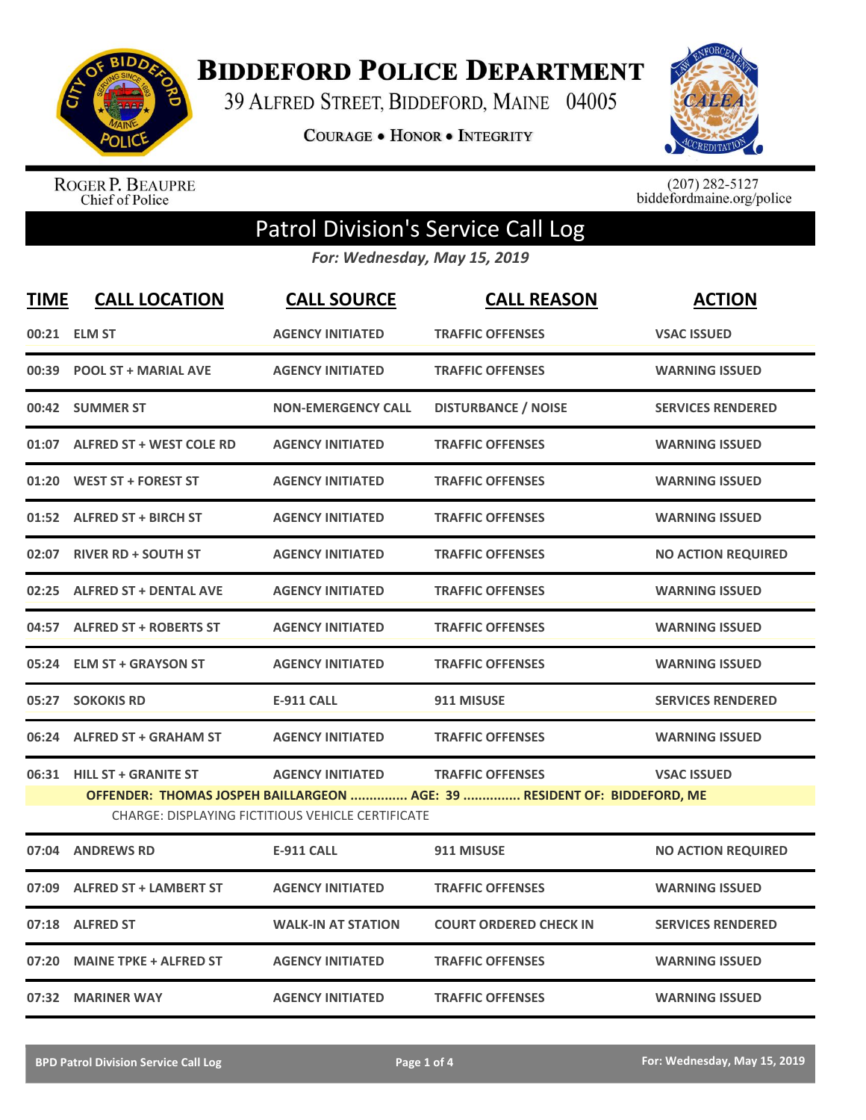

**BIDDEFORD POLICE DEPARTMENT** 

39 ALFRED STREET, BIDDEFORD, MAINE 04005

**COURAGE . HONOR . INTEGRITY** 



ROGER P. BEAUPRE<br>Chief of Police

 $(207)$  282-5127<br>biddefordmaine.org/police

## Patrol Division's Service Call Log

*For: Wednesday, May 15, 2019*

| <b>TIME</b> | <b>CALL LOCATION</b>                                                     | <b>CALL SOURCE</b>        | <b>CALL REASON</b>            | <b>ACTION</b>             |
|-------------|--------------------------------------------------------------------------|---------------------------|-------------------------------|---------------------------|
|             | 00:21 ELM ST                                                             | <b>AGENCY INITIATED</b>   | <b>TRAFFIC OFFENSES</b>       | <b>VSAC ISSUED</b>        |
|             | 00:39 POOL ST + MARIAL AVE                                               | <b>AGENCY INITIATED</b>   | <b>TRAFFIC OFFENSES</b>       | <b>WARNING ISSUED</b>     |
|             | 00:42 SUMMER ST                                                          | <b>NON-EMERGENCY CALL</b> | <b>DISTURBANCE / NOISE</b>    | <b>SERVICES RENDERED</b>  |
|             | 01:07 ALFRED ST + WEST COLE RD                                           | <b>AGENCY INITIATED</b>   | <b>TRAFFIC OFFENSES</b>       | <b>WARNING ISSUED</b>     |
|             | 01:20 WEST ST + FOREST ST                                                | <b>AGENCY INITIATED</b>   | <b>TRAFFIC OFFENSES</b>       | <b>WARNING ISSUED</b>     |
|             | 01:52 ALFRED ST + BIRCH ST                                               | <b>AGENCY INITIATED</b>   | <b>TRAFFIC OFFENSES</b>       | <b>WARNING ISSUED</b>     |
|             | 02:07 RIVER RD + SOUTH ST                                                | <b>AGENCY INITIATED</b>   | <b>TRAFFIC OFFENSES</b>       | <b>NO ACTION REQUIRED</b> |
|             | 02:25 ALFRED ST + DENTAL AVE                                             | <b>AGENCY INITIATED</b>   | <b>TRAFFIC OFFENSES</b>       | <b>WARNING ISSUED</b>     |
|             | 04:57 ALFRED ST + ROBERTS ST                                             | <b>AGENCY INITIATED</b>   | <b>TRAFFIC OFFENSES</b>       | <b>WARNING ISSUED</b>     |
|             | 05:24 ELM ST + GRAYSON ST                                                | <b>AGENCY INITIATED</b>   | <b>TRAFFIC OFFENSES</b>       | <b>WARNING ISSUED</b>     |
| 05:27       | <b>SOKOKIS RD</b>                                                        | <b>E-911 CALL</b>         | 911 MISUSE                    | <b>SERVICES RENDERED</b>  |
| 06:24       | <b>ALFRED ST + GRAHAM ST</b>                                             | <b>AGENCY INITIATED</b>   | <b>TRAFFIC OFFENSES</b>       | <b>WARNING ISSUED</b>     |
| 06:31       | <b>HILL ST + GRANITE ST</b>                                              | <b>AGENCY INITIATED</b>   | <b>TRAFFIC OFFENSES</b>       | <b>VSAC ISSUED</b>        |
|             | OFFENDER: THOMAS JOSPEH BAILLARGEON  AGE: 39  RESIDENT OF: BIDDEFORD, ME |                           |                               |                           |
| 07:04       | <b>ANDREWS RD</b>                                                        | <b>E-911 CALL</b>         | 911 MISUSE                    | <b>NO ACTION REQUIRED</b> |
| 07:09       | <b>ALFRED ST + LAMBERT ST</b>                                            | <b>AGENCY INITIATED</b>   | <b>TRAFFIC OFFENSES</b>       | <b>WARNING ISSUED</b>     |
| 07:18       | <b>ALFRED ST</b>                                                         | <b>WALK-IN AT STATION</b> | <b>COURT ORDERED CHECK IN</b> | <b>SERVICES RENDERED</b>  |
| 07:20       | <b>MAINE TPKE + ALFRED ST</b>                                            | <b>AGENCY INITIATED</b>   | <b>TRAFFIC OFFENSES</b>       | <b>WARNING ISSUED</b>     |
|             | 07:32 MARINER WAY                                                        | <b>AGENCY INITIATED</b>   | <b>TRAFFIC OFFENSES</b>       | <b>WARNING ISSUED</b>     |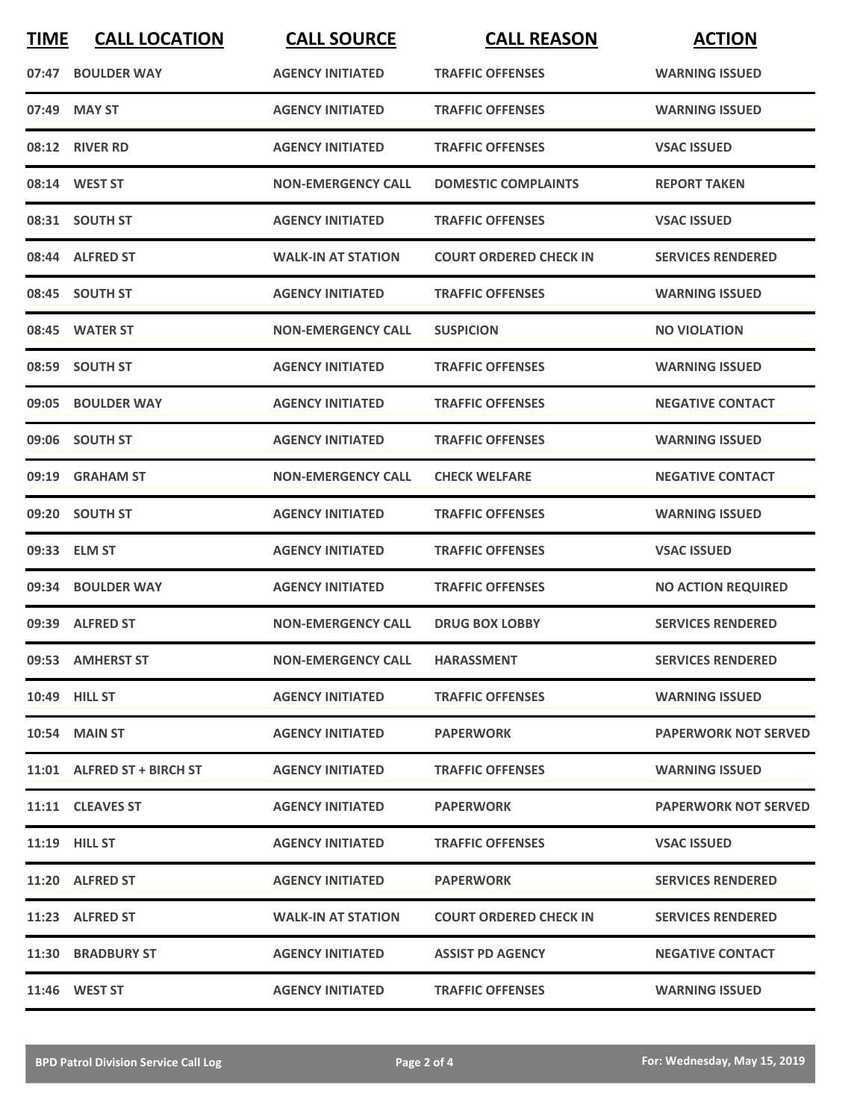| <b>TIME</b> | <b>CALL LOCATION</b>       | <b>CALL SOURCE</b>        | <b>CALL REASON</b>            | <b>ACTION</b>               |
|-------------|----------------------------|---------------------------|-------------------------------|-----------------------------|
|             | 07:47 BOULDER WAY          | <b>AGENCY INITIATED</b>   | <b>TRAFFIC OFFENSES</b>       | <b>WARNING ISSUED</b>       |
| 07:49       | <b>MAY ST</b>              | <b>AGENCY INITIATED</b>   | <b>TRAFFIC OFFENSES</b>       | <b>WARNING ISSUED</b>       |
|             | 08:12 RIVER RD             | <b>AGENCY INITIATED</b>   | <b>TRAFFIC OFFENSES</b>       | <b>VSAC ISSUED</b>          |
|             | 08:14 WEST ST              | <b>NON-EMERGENCY CALL</b> | <b>DOMESTIC COMPLAINTS</b>    | <b>REPORT TAKEN</b>         |
|             | 08:31 SOUTH ST             | <b>AGENCY INITIATED</b>   | <b>TRAFFIC OFFENSES</b>       | <b>VSAC ISSUED</b>          |
|             | 08:44 ALFRED ST            | <b>WALK-IN AT STATION</b> | <b>COURT ORDERED CHECK IN</b> | <b>SERVICES RENDERED</b>    |
|             | 08:45 SOUTH ST             | <b>AGENCY INITIATED</b>   | <b>TRAFFIC OFFENSES</b>       | <b>WARNING ISSUED</b>       |
|             | 08:45 WATER ST             | <b>NON-EMERGENCY CALL</b> | <b>SUSPICION</b>              | <b>NO VIOLATION</b>         |
|             | 08:59 SOUTH ST             | <b>AGENCY INITIATED</b>   | <b>TRAFFIC OFFENSES</b>       | <b>WARNING ISSUED</b>       |
|             | 09:05 BOULDER WAY          | <b>AGENCY INITIATED</b>   | <b>TRAFFIC OFFENSES</b>       | <b>NEGATIVE CONTACT</b>     |
|             | 09:06 SOUTH ST             | <b>AGENCY INITIATED</b>   | <b>TRAFFIC OFFENSES</b>       | <b>WARNING ISSUED</b>       |
|             | 09:19 GRAHAM ST            | <b>NON-EMERGENCY CALL</b> | <b>CHECK WELFARE</b>          | <b>NEGATIVE CONTACT</b>     |
| 09:20       | <b>SOUTH ST</b>            | <b>AGENCY INITIATED</b>   | <b>TRAFFIC OFFENSES</b>       | <b>WARNING ISSUED</b>       |
|             | 09:33 ELM ST               | <b>AGENCY INITIATED</b>   | <b>TRAFFIC OFFENSES</b>       | <b>VSAC ISSUED</b>          |
|             | 09:34 BOULDER WAY          | <b>AGENCY INITIATED</b>   | <b>TRAFFIC OFFENSES</b>       | <b>NO ACTION REQUIRED</b>   |
|             | 09:39 ALFRED ST            | <b>NON-EMERGENCY CALL</b> | <b>DRUG BOX LOBBY</b>         | <b>SERVICES RENDERED</b>    |
|             | 09:53 AMHERST ST           | <b>NON-EMERGENCY CALL</b> | <b>HARASSMENT</b>             | <b>SERVICES RENDERED</b>    |
|             | 10:49 HILL ST              | <b>AGENCY INITIATED</b>   | <b>TRAFFIC OFFENSES</b>       | <b>WARNING ISSUED</b>       |
|             | <b>10:54 MAIN ST</b>       | <b>AGENCY INITIATED</b>   | <b>PAPERWORK</b>              | <b>PAPERWORK NOT SERVED</b> |
|             | 11:01 ALFRED ST + BIRCH ST | <b>AGENCY INITIATED</b>   | <b>TRAFFIC OFFENSES</b>       | <b>WARNING ISSUED</b>       |
|             | 11:11 CLEAVES ST           | <b>AGENCY INITIATED</b>   | <b>PAPERWORK</b>              | <b>PAPERWORK NOT SERVED</b> |
|             | 11:19 HILL ST              | <b>AGENCY INITIATED</b>   | <b>TRAFFIC OFFENSES</b>       | <b>VSAC ISSUED</b>          |
|             | 11:20 ALFRED ST            | <b>AGENCY INITIATED</b>   | <b>PAPERWORK</b>              | <b>SERVICES RENDERED</b>    |
|             | 11:23 ALFRED ST            | <b>WALK-IN AT STATION</b> | <b>COURT ORDERED CHECK IN</b> | <b>SERVICES RENDERED</b>    |
|             | 11:30 BRADBURY ST          | <b>AGENCY INITIATED</b>   | <b>ASSIST PD AGENCY</b>       | <b>NEGATIVE CONTACT</b>     |
|             | 11:46 WEST ST              | <b>AGENCY INITIATED</b>   | <b>TRAFFIC OFFENSES</b>       | <b>WARNING ISSUED</b>       |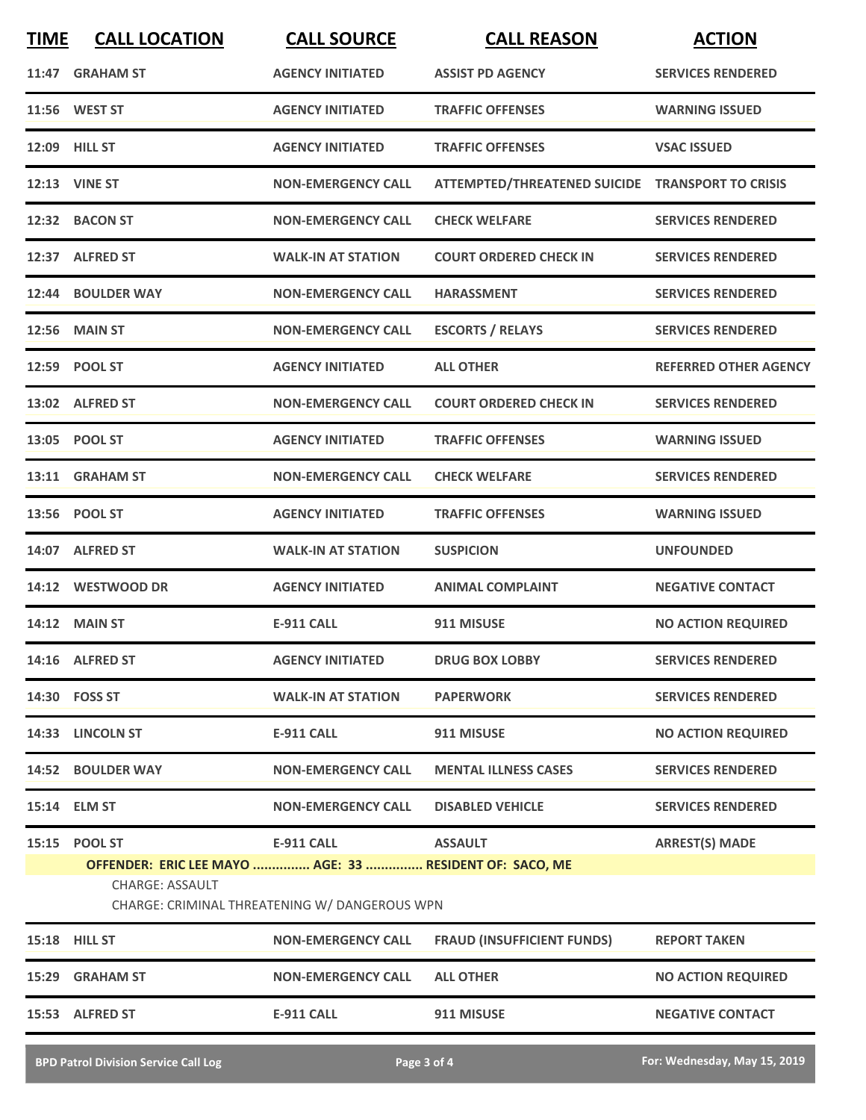| <b>TIME</b> | <b>CALL LOCATION</b>                                                              | <b>CALL SOURCE</b>                            | <b>CALL REASON</b>                               | <b>ACTION</b>                |
|-------------|-----------------------------------------------------------------------------------|-----------------------------------------------|--------------------------------------------------|------------------------------|
| 11:47       | <b>GRAHAM ST</b>                                                                  | <b>AGENCY INITIATED</b>                       | <b>ASSIST PD AGENCY</b>                          | <b>SERVICES RENDERED</b>     |
|             | 11:56 WEST ST                                                                     | <b>AGENCY INITIATED</b>                       | <b>TRAFFIC OFFENSES</b>                          | <b>WARNING ISSUED</b>        |
|             | 12:09 HILL ST                                                                     | <b>AGENCY INITIATED</b>                       | <b>TRAFFIC OFFENSES</b>                          | <b>VSAC ISSUED</b>           |
|             | <b>12:13 VINE ST</b>                                                              | <b>NON-EMERGENCY CALL</b>                     | ATTEMPTED/THREATENED SUICIDE TRANSPORT TO CRISIS |                              |
|             | 12:32 BACON ST                                                                    | <b>NON-EMERGENCY CALL</b>                     | <b>CHECK WELFARE</b>                             | <b>SERVICES RENDERED</b>     |
|             | 12:37 ALFRED ST                                                                   | <b>WALK-IN AT STATION</b>                     | <b>COURT ORDERED CHECK IN</b>                    | <b>SERVICES RENDERED</b>     |
|             | 12:44 BOULDER WAY                                                                 | <b>NON-EMERGENCY CALL</b>                     | <b>HARASSMENT</b>                                | <b>SERVICES RENDERED</b>     |
|             | <b>12:56 MAIN ST</b>                                                              | <b>NON-EMERGENCY CALL</b>                     | <b>ESCORTS / RELAYS</b>                          | <b>SERVICES RENDERED</b>     |
|             | 12:59 POOL ST                                                                     | <b>AGENCY INITIATED</b>                       | <b>ALL OTHER</b>                                 | <b>REFERRED OTHER AGENCY</b> |
|             | 13:02 ALFRED ST                                                                   | <b>NON-EMERGENCY CALL</b>                     | <b>COURT ORDERED CHECK IN</b>                    | <b>SERVICES RENDERED</b>     |
|             | 13:05 POOL ST                                                                     | <b>AGENCY INITIATED</b>                       | <b>TRAFFIC OFFENSES</b>                          | <b>WARNING ISSUED</b>        |
|             | 13:11 GRAHAM ST                                                                   | <b>NON-EMERGENCY CALL</b>                     | <b>CHECK WELFARE</b>                             | <b>SERVICES RENDERED</b>     |
|             | 13:56 POOL ST                                                                     | <b>AGENCY INITIATED</b>                       | <b>TRAFFIC OFFENSES</b>                          | <b>WARNING ISSUED</b>        |
|             | 14:07 ALFRED ST                                                                   | <b>WALK-IN AT STATION</b>                     | <b>SUSPICION</b>                                 | <b>UNFOUNDED</b>             |
|             | 14:12 WESTWOOD DR                                                                 | <b>AGENCY INITIATED</b>                       | <b>ANIMAL COMPLAINT</b>                          | <b>NEGATIVE CONTACT</b>      |
|             | <b>14:12 MAIN ST</b>                                                              | <b>E-911 CALL</b>                             | 911 MISUSE                                       | <b>NO ACTION REQUIRED</b>    |
|             | 14:16 ALFRED ST                                                                   | <b>AGENCY INITIATED</b>                       | <b>DRUG BOX LOBBY</b>                            | <b>SERVICES RENDERED</b>     |
|             | 14:30 FOSS ST                                                                     | <b>WALK-IN AT STATION</b>                     | <b>PAPERWORK</b>                                 | <b>SERVICES RENDERED</b>     |
|             | 14:33 LINCOLN ST                                                                  | <b>E-911 CALL</b>                             | 911 MISUSE                                       | <b>NO ACTION REQUIRED</b>    |
|             | 14:52 BOULDER WAY                                                                 | <b>NON-EMERGENCY CALL</b>                     | <b>MENTAL ILLNESS CASES</b>                      | <b>SERVICES RENDERED</b>     |
|             | 15:14 ELM ST                                                                      | <b>NON-EMERGENCY CALL</b>                     | <b>DISABLED VEHICLE</b>                          | <b>SERVICES RENDERED</b>     |
|             | 15:15 POOL ST                                                                     | <b>E-911 CALL</b>                             | <b>ASSAULT</b>                                   | <b>ARREST(S) MADE</b>        |
|             | OFFENDER: ERIC LEE MAYO  AGE: 33  RESIDENT OF: SACO, ME<br><b>CHARGE: ASSAULT</b> | CHARGE: CRIMINAL THREATENING W/ DANGEROUS WPN |                                                  |                              |
|             | <b>15:18 HILL ST</b>                                                              | <b>NON-EMERGENCY CALL</b>                     | <b>FRAUD (INSUFFICIENT FUNDS)</b>                | <b>REPORT TAKEN</b>          |
|             | 15:29 GRAHAM ST                                                                   | <b>NON-EMERGENCY CALL</b>                     | <b>ALL OTHER</b>                                 | <b>NO ACTION REQUIRED</b>    |
|             | 15:53 ALFRED ST                                                                   | <b>E-911 CALL</b>                             | 911 MISUSE                                       | <b>NEGATIVE CONTACT</b>      |
|             | <b>BPD Patrol Division Service Call Log</b>                                       |                                               | Page 3 of 4                                      | For: Wednesday, May 15, 2019 |